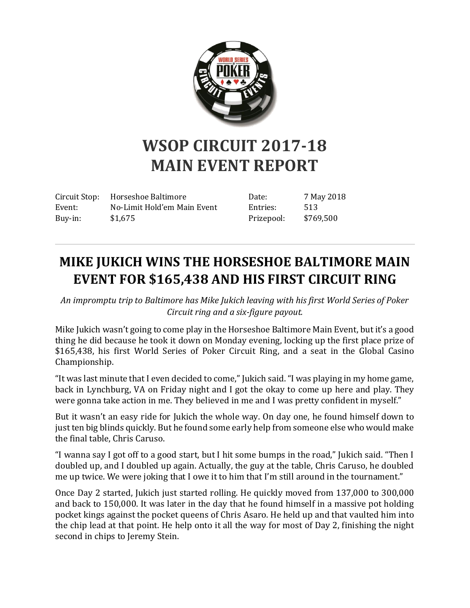

## **WSOP CIRCUIT 2017-18 MAIN EVENT REPORT**

Circuit Stop: Horseshoe Baltimore Event: No-Limit Hold'em Main Event Buy-in: \$1,675

Date: 7 May 2018 Entries: 513 Prizepool: \$769,500

## **MIKE JUKICH WINS THE HORSESHOE BALTIMORE MAIN EVENT FOR \$165,438 AND HIS FIRST CIRCUIT RING**

*An impromptu trip to Baltimore has Mike Jukich leaving with his first World Series of Poker Circuit ring and a six-figure payout.*

Mike Jukich wasn't going to come play in the Horseshoe Baltimore Main Event, but it's a good thing he did because he took it down on Monday evening, locking up the first place prize of \$165,438, his first World Series of Poker Circuit Ring, and a seat in the Global Casino Championship.

"It was last minute that I even decided to come," Jukich said. "I was playing in my home game, back in Lynchburg, VA on Friday night and I got the okay to come up here and play. They were gonna take action in me. They believed in me and I was pretty confident in myself."

But it wasn't an easy ride for Jukich the whole way. On day one, he found himself down to just ten big blinds quickly. But he found some early help from someone else who would make the final table, Chris Caruso.

"I wanna say I got off to a good start, but I hit some bumps in the road," Jukich said. "Then I doubled up, and I doubled up again. Actually, the guy at the table, Chris Caruso, he doubled me up twice. We were joking that I owe it to him that I'm still around in the tournament."

Once Day 2 started, Jukich just started rolling. He quickly moved from 137,000 to 300,000 and back to 150,000. It was later in the day that he found himself in a massive pot holding pocket kings against the pocket queens of Chris Asaro. He held up and that vaulted him into the chip lead at that point. He help onto it all the way for most of Day 2, finishing the night second in chips to Jeremy Stein.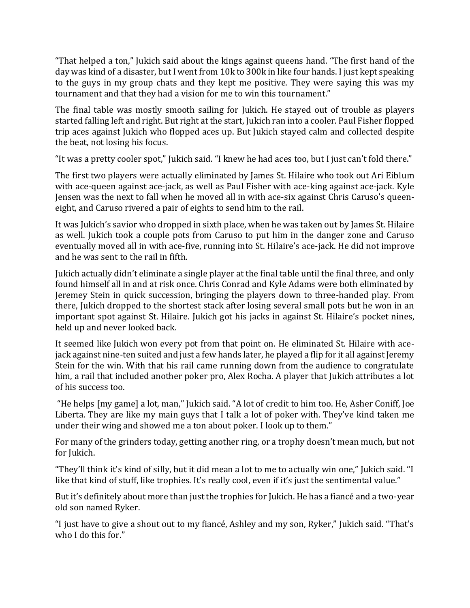"That helped a ton," Jukich said about the kings against queens hand. "The first hand of the day was kind of a disaster, but I went from 10k to 300k in like four hands. I just kept speaking to the guys in my group chats and they kept me positive. They were saying this was my tournament and that they had a vision for me to win this tournament."

The final table was mostly smooth sailing for Jukich. He stayed out of trouble as players started falling left and right. But right at the start, Jukich ran into a cooler. Paul Fisher flopped trip aces against Jukich who flopped aces up. But Jukich stayed calm and collected despite the beat, not losing his focus.

"It was a pretty cooler spot," Jukich said. "I knew he had aces too, but I just can't fold there."

The first two players were actually eliminated by James St. Hilaire who took out Ari Eiblum with ace-queen against ace-jack, as well as Paul Fisher with ace-king against ace-jack. Kyle Jensen was the next to fall when he moved all in with ace-six against Chris Caruso's queeneight, and Caruso rivered a pair of eights to send him to the rail.

It was Jukich's savior who dropped in sixth place, when he was taken out by James St. Hilaire as well. Jukich took a couple pots from Caruso to put him in the danger zone and Caruso eventually moved all in with ace-five, running into St. Hilaire's ace-jack. He did not improve and he was sent to the rail in fifth.

Jukich actually didn't eliminate a single player at the final table until the final three, and only found himself all in and at risk once. Chris Conrad and Kyle Adams were both eliminated by Jeremey Stein in quick succession, bringing the players down to three-handed play. From there, Jukich dropped to the shortest stack after losing several small pots but he won in an important spot against St. Hilaire. Jukich got his jacks in against St. Hilaire's pocket nines, held up and never looked back.

It seemed like Jukich won every pot from that point on. He eliminated St. Hilaire with acejack against nine-ten suited and just a few hands later, he played a flip for it all against Jeremy Stein for the win. With that his rail came running down from the audience to congratulate him, a rail that included another poker pro, Alex Rocha. A player that Jukich attributes a lot of his success too.

"He helps [my game] a lot, man," Jukich said. "A lot of credit to him too. He, Asher Coniff, Joe Liberta. They are like my main guys that I talk a lot of poker with. They've kind taken me under their wing and showed me a ton about poker. I look up to them."

For many of the grinders today, getting another ring, or a trophy doesn't mean much, but not for Jukich.

"They'll think it's kind of silly, but it did mean a lot to me to actually win one," Jukich said. "I like that kind of stuff, like trophies. It's really cool, even if it's just the sentimental value."

But it's definitely about more than just the trophies for Jukich. He has a fiancé and a two-year old son named Ryker.

"I just have to give a shout out to my fiancé, Ashley and my son, Ryker," Jukich said. "That's who I do this for."